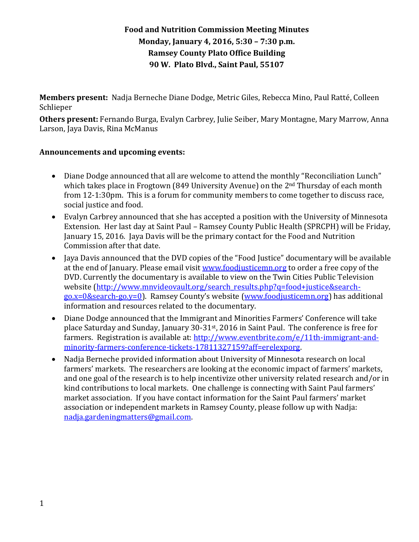# **Food and Nutrition Commission Meeting Minutes Monday, January 4, 2016, 5:30 – 7:30 p.m. Ramsey County Plato Office Building 90 W. Plato Blvd., Saint Paul, 55107**

**Members present:** Nadja Berneche Diane Dodge, Metric Giles, Rebecca Mino, Paul Ratté, Colleen Schlieper

**Others present:** Fernando Burga, Evalyn Carbrey, Julie Seiber, Mary Montagne, Mary Marrow, Anna Larson, Jaya Davis, Rina McManus

### **Announcements and upcoming events:**

- Diane Dodge announced that all are welcome to attend the monthly "Reconciliation Lunch" which takes place in Frogtown (849 University Avenue) on the 2<sup>nd</sup> Thursday of each month from 12-1:30pm. This is a forum for community members to come together to discuss race, social justice and food.
- Evalyn Carbrey announced that she has accepted a position with the University of Minnesota Extension. Her last day at Saint Paul – Ramsey County Public Health (SPRCPH) will be Friday, January 15, 2016. Jaya Davis will be the primary contact for the Food and Nutrition Commission after that date.
- Jaya Davis announced that the DVD copies of the "Food Justice" documentary will be available at the end of January. Please email visi[t www.foodjusticemn.org](http://www.foodjusticemn.org/) to order a free copy of the DVD. Currently the documentary is available to view on the Twin Cities Public Television website [\(http://www.mnvideovault.org/search\\_results.php?q=food+justice&search](http://www.mnvideovault.org/search_results.php?q=food+justice&search-go.x=0&search-go.y=0)[go.x=0&search-go.y=0\)](http://www.mnvideovault.org/search_results.php?q=food+justice&search-go.x=0&search-go.y=0). Ramsey County's website [\(www.foodjusticemn.org\)](http://www.foodjusticemn.org/) has additional information and resources related to the documentary.
- Diane Dodge announced that the Immigrant and Minorities Farmers' Conference will take place Saturday and Sunday, January 30-31st, 2016 in Saint Paul. The conference is free for farmers. Registration is available at: [http://www.eventbrite.com/e/11th-immigrant-and](http://www.eventbrite.com/e/11th-immigrant-and-minority-farmers-conference-tickets-17811327159?aff=erelexporg)[minority-farmers-conference-tickets-17811327159?aff=erelexporg.](http://www.eventbrite.com/e/11th-immigrant-and-minority-farmers-conference-tickets-17811327159?aff=erelexporg)
- Nadja Berneche provided information about University of Minnesota research on local farmers' markets. The researchers are looking at the economic impact of farmers' markets, and one goal of the research is to help incentivize other university related research and/or in kind contributions to local markets. One challenge is connecting with Saint Paul farmers' market association. If you have contact information for the Saint Paul farmers' market association or independent markets in Ramsey County, please follow up with Nadja: [nadja.gardeningmatters@gmail.com.](mailto:nadja.gardeningmatters@gmail.com)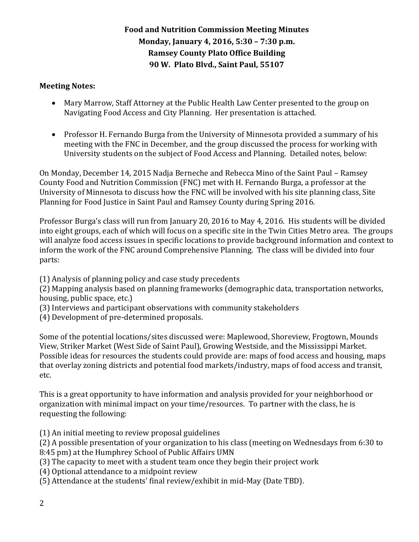# **Food and Nutrition Commission Meeting Minutes Monday, January 4, 2016, 5:30 – 7:30 p.m. Ramsey County Plato Office Building 90 W. Plato Blvd., Saint Paul, 55107**

#### **Meeting Notes:**

- Mary Marrow, Staff Attorney at the Public Health Law Center presented to the group on Navigating Food Access and City Planning. Her presentation is attached.
- Professor H. Fernando Burga from the University of Minnesota provided a summary of his meeting with the FNC in December, and the group discussed the process for working with University students on the subject of Food Access and Planning. Detailed notes, below:

On Monday, December 14, 2015 Nadja Berneche and Rebecca Mino of the Saint Paul – Ramsey County Food and Nutrition Commission (FNC) met with H. Fernando Burga, a professor at the University of Minnesota to discuss how the FNC will be involved with his site planning class, Site Planning for Food Justice in Saint Paul and Ramsey County during Spring 2016.

Professor Burga's class will run from January 20, 2016 to May 4, 2016. His students will be divided into eight groups, each of which will focus on a specific site in the Twin Cities Metro area. The groups will analyze food access issues in specific locations to provide background information and context to inform the work of the FNC around Comprehensive Planning. The class will be divided into four parts:

(1) Analysis of planning policy and case study precedents

(2) Mapping analysis based on planning frameworks (demographic data, transportation networks, housing, public space, etc.)

- (3) Interviews and participant observations with community stakeholders
- (4) Development of pre-determined proposals.

Some of the potential locations/sites discussed were: Maplewood, Shoreview, Frogtown, Mounds View, Striker Market (West Side of Saint Paul), Growing Westside, and the Mississippi Market. Possible ideas for resources the students could provide are: maps of food access and housing, maps that overlay zoning districts and potential food markets/industry, maps of food access and transit, etc.

This is a great opportunity to have information and analysis provided for your neighborhood or organization with minimal impact on your time/resources. To partner with the class, he is requesting the following:

(1) An initial meeting to review proposal guidelines

(2) A possible presentation of your organization to his class (meeting on Wednesdays from 6:30 to 8:45 pm) at the Humphrey School of Public Affairs UMN

- (3) The capacity to meet with a student team once they begin their project work
- (4) Optional attendance to a midpoint review
- (5) Attendance at the students' final review/exhibit in mid-May (Date TBD).